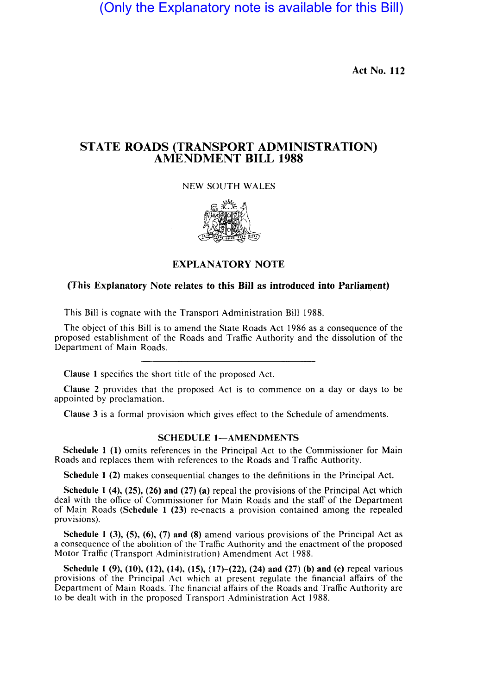(Only the Explanatory note is available for this Bill)

Act No. 112

## STATE ROADS (TRANSPORT ADMINISTRATION) AMENDMENT BILL 1988

**NEW SOUTH WALES** 



## **EXPLANATORY NOTE**

## (This Explanatory Note relates to this Bill as introduced into Parliament)

This Bill is cognate with the Transport Administration Bill 1988.

The object of this Bill is to amend the State Roads Act 1986 as a consequence of the proposed establishment of the Roads and Traffic Authority and the dissolution of the Department of Main Roads.

Clause 1 specifies the short title of the proposed Act.

Clause 2 provides that the proposed Act is to commence on a day or days to be appointed by proclamation.

Clause 3 is a formal provision which gives effect to the Schedule of amendments.

## SCHEDULE 1-AMENDMENTS

Schedule 1 (1) omits references in the Principal Act to the Commissioner for Main Roads and replaces them with references to the Roads and Traffic Authority.

Schedule 1 (2) makes consequential changes to the definitions in the Principal Act.

Schedule 1 (4), (25), (26) and (27) (a) repeal the provisions of the Principal Act which deal with the office of Commissioner for Main Roads and the staff of the Department of Main Roads (Schedule  $1$  (23) re-enacts a provision contained among the repealed provisions).

Schedule 1 (3), (5), (6), (7) and (8) amend various provisions of the Principal Act as a consequence of the abolition of the Traffic Authority and the enactment of the proposed Motor Traffic (Transport Administration) Amendment Act 1988.

Schedule 1 (9), (10), (12), (14), (15), (17)–(22), (24) and (27) (b) and (c) repeal various provisions of the Principal Act which at present regulate the financial affairs of the Department of Main Roads. The financial affairs of the Roads and Traffic Authority are to be dealt with in the proposed Transport Administration Act 1988.